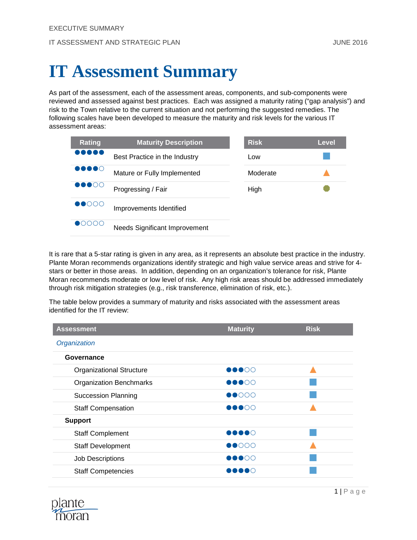# **IT Assessment Summary**

As part of the assessment, each of the assessment areas, components, and sub-components were reviewed and assessed against best practices. Each was assigned a maturity rating ("gap analysis") and risk to the Town relative to the current situation and not performing the suggested remedies. The following scales have been developed to measure the maturity and risk levels for the various IT assessment areas:

| <b>Rating</b>                     | <b>Maturity Description</b>          | <b>Risk</b> | <b>Level</b> |
|-----------------------------------|--------------------------------------|-------------|--------------|
|                                   | Best Practice in the Industry        | Low         |              |
| $\bullet\bullet\bullet\circ$      | Mature or Fully Implemented          | Moderate    |              |
| $\bullet\bullet\bullet\circ\circ$ | Progressing / Fair                   | High        |              |
| $\bullet$ 0000                    | Improvements Identified              |             |              |
| UUU                               | <b>Needs Significant Improvement</b> |             |              |

It is rare that a 5-star rating is given in any area, as it represents an absolute best practice in the industry. Plante Moran recommends organizations identify strategic and high value service areas and strive for 4 stars or better in those areas. In addition, depending on an organization's tolerance for risk, Plante Moran recommends moderate or low level of risk. Any high risk areas should be addressed immediately through risk mitigation strategies (e.g., risk transference, elimination of risk, etc.).

The table below provides a summary of maturity and risks associated with the assessment areas identified for the IT review:

| <b>Assessment</b>               | <b>Maturity</b>                   | <b>Risk</b> |  |  |  |
|---------------------------------|-----------------------------------|-------------|--|--|--|
| Organization                    |                                   |             |  |  |  |
| Governance                      |                                   |             |  |  |  |
| <b>Organizational Structure</b> | $\bullet\bullet\circ\circ$        |             |  |  |  |
| <b>Organization Benchmarks</b>  | $\bullet\bullet\bullet\circ\circ$ |             |  |  |  |
| <b>Succession Planning</b>      | $\bullet$ 000                     |             |  |  |  |
| <b>Staff Compensation</b>       | $\bullet\bullet\circ\circ$        |             |  |  |  |
| <b>Support</b>                  |                                   |             |  |  |  |
| <b>Staff Complement</b>         | 00000                             |             |  |  |  |
| <b>Staff Development</b>        | $\bullet$ 0000                    |             |  |  |  |
| Job Descriptions                | $\bullet\bullet\bullet\circ\circ$ |             |  |  |  |
| <b>Staff Competencies</b>       | DOOO                              |             |  |  |  |

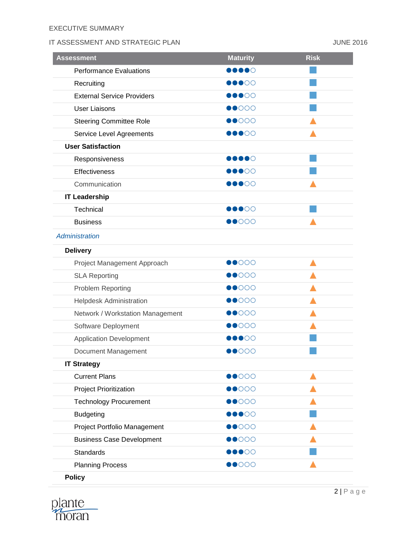## EXECUTIVE SUMMARY

# IT ASSESSMENT AND STRATEGIC PLAN **In the set of the STATEGIC PLAN** JUNE 2016

| <b>Performance Evaluations</b><br>DOOOO<br>$\bullet\bullet\circ\circ$<br>Recruiting<br><b>External Service Providers</b><br>$\bullet\bullet\circ\circ$<br>$\bullet$ 000<br><b>User Liaisons</b><br>$\bullet$ 000<br><b>Steering Committee Role</b><br>Service Level Agreements<br>$\bullet\bullet\circ\circ$<br><b>User Satisfaction</b><br>$\bullet\bullet\bullet\circ$<br>Responsiveness<br>Effectiveness<br>$\bullet\bullet\circ\circ$<br>Communication<br>$\bullet\bullet\circ\circ$<br><b>IT Leadership</b><br>Technical<br>00000<br>$\bullet$ 000<br><b>Business</b><br><b>Administration</b><br><b>Delivery</b><br>$\bullet$ 000<br>Project Management Approach<br>$\bullet$ 000<br><b>SLA Reporting</b><br>$\bullet$ 000<br>Problem Reporting<br>$\bullet$ 000<br>Helpdesk Administration<br>$\bullet$ 000<br>Network / Workstation Management<br>Software Deployment<br>$\bullet$ 000<br>00000<br><b>Application Development</b><br>$\bullet$ 000<br>Document Management<br><b>IT Strategy</b><br>$\bullet$ 000<br><b>Current Plans</b><br><b>Project Prioritization</b><br>$\bullet$ 000<br>$\bullet$ 000<br><b>Technology Procurement</b><br><b>Budgeting</b><br>$\bullet\bullet\circ\circ$<br>$\bullet$ 000<br>Project Portfolio Management<br><b>Business Case Development</b><br>$\bullet$ 000<br><b>Standards</b><br>$\bullet\bullet\circ\circ$<br><b>Planning Process</b><br>$\bullet$ 000<br><b>Policy</b> | <b>Assessment</b> | <b>Maturity</b> | <b>Risk</b> |
|-----------------------------------------------------------------------------------------------------------------------------------------------------------------------------------------------------------------------------------------------------------------------------------------------------------------------------------------------------------------------------------------------------------------------------------------------------------------------------------------------------------------------------------------------------------------------------------------------------------------------------------------------------------------------------------------------------------------------------------------------------------------------------------------------------------------------------------------------------------------------------------------------------------------------------------------------------------------------------------------------------------------------------------------------------------------------------------------------------------------------------------------------------------------------------------------------------------------------------------------------------------------------------------------------------------------------------------------------------------------------------------------------------------------------------|-------------------|-----------------|-------------|
|                                                                                                                                                                                                                                                                                                                                                                                                                                                                                                                                                                                                                                                                                                                                                                                                                                                                                                                                                                                                                                                                                                                                                                                                                                                                                                                                                                                                                             |                   |                 |             |
|                                                                                                                                                                                                                                                                                                                                                                                                                                                                                                                                                                                                                                                                                                                                                                                                                                                                                                                                                                                                                                                                                                                                                                                                                                                                                                                                                                                                                             |                   |                 |             |
|                                                                                                                                                                                                                                                                                                                                                                                                                                                                                                                                                                                                                                                                                                                                                                                                                                                                                                                                                                                                                                                                                                                                                                                                                                                                                                                                                                                                                             |                   |                 |             |
|                                                                                                                                                                                                                                                                                                                                                                                                                                                                                                                                                                                                                                                                                                                                                                                                                                                                                                                                                                                                                                                                                                                                                                                                                                                                                                                                                                                                                             |                   |                 |             |
|                                                                                                                                                                                                                                                                                                                                                                                                                                                                                                                                                                                                                                                                                                                                                                                                                                                                                                                                                                                                                                                                                                                                                                                                                                                                                                                                                                                                                             |                   |                 |             |
|                                                                                                                                                                                                                                                                                                                                                                                                                                                                                                                                                                                                                                                                                                                                                                                                                                                                                                                                                                                                                                                                                                                                                                                                                                                                                                                                                                                                                             |                   |                 |             |
|                                                                                                                                                                                                                                                                                                                                                                                                                                                                                                                                                                                                                                                                                                                                                                                                                                                                                                                                                                                                                                                                                                                                                                                                                                                                                                                                                                                                                             |                   |                 |             |
|                                                                                                                                                                                                                                                                                                                                                                                                                                                                                                                                                                                                                                                                                                                                                                                                                                                                                                                                                                                                                                                                                                                                                                                                                                                                                                                                                                                                                             |                   |                 |             |
|                                                                                                                                                                                                                                                                                                                                                                                                                                                                                                                                                                                                                                                                                                                                                                                                                                                                                                                                                                                                                                                                                                                                                                                                                                                                                                                                                                                                                             |                   |                 |             |
|                                                                                                                                                                                                                                                                                                                                                                                                                                                                                                                                                                                                                                                                                                                                                                                                                                                                                                                                                                                                                                                                                                                                                                                                                                                                                                                                                                                                                             |                   |                 |             |
|                                                                                                                                                                                                                                                                                                                                                                                                                                                                                                                                                                                                                                                                                                                                                                                                                                                                                                                                                                                                                                                                                                                                                                                                                                                                                                                                                                                                                             |                   |                 |             |
|                                                                                                                                                                                                                                                                                                                                                                                                                                                                                                                                                                                                                                                                                                                                                                                                                                                                                                                                                                                                                                                                                                                                                                                                                                                                                                                                                                                                                             |                   |                 |             |
|                                                                                                                                                                                                                                                                                                                                                                                                                                                                                                                                                                                                                                                                                                                                                                                                                                                                                                                                                                                                                                                                                                                                                                                                                                                                                                                                                                                                                             |                   |                 |             |
|                                                                                                                                                                                                                                                                                                                                                                                                                                                                                                                                                                                                                                                                                                                                                                                                                                                                                                                                                                                                                                                                                                                                                                                                                                                                                                                                                                                                                             |                   |                 |             |
|                                                                                                                                                                                                                                                                                                                                                                                                                                                                                                                                                                                                                                                                                                                                                                                                                                                                                                                                                                                                                                                                                                                                                                                                                                                                                                                                                                                                                             |                   |                 |             |
|                                                                                                                                                                                                                                                                                                                                                                                                                                                                                                                                                                                                                                                                                                                                                                                                                                                                                                                                                                                                                                                                                                                                                                                                                                                                                                                                                                                                                             |                   |                 |             |
|                                                                                                                                                                                                                                                                                                                                                                                                                                                                                                                                                                                                                                                                                                                                                                                                                                                                                                                                                                                                                                                                                                                                                                                                                                                                                                                                                                                                                             |                   |                 |             |
|                                                                                                                                                                                                                                                                                                                                                                                                                                                                                                                                                                                                                                                                                                                                                                                                                                                                                                                                                                                                                                                                                                                                                                                                                                                                                                                                                                                                                             |                   |                 |             |
|                                                                                                                                                                                                                                                                                                                                                                                                                                                                                                                                                                                                                                                                                                                                                                                                                                                                                                                                                                                                                                                                                                                                                                                                                                                                                                                                                                                                                             |                   |                 |             |
|                                                                                                                                                                                                                                                                                                                                                                                                                                                                                                                                                                                                                                                                                                                                                                                                                                                                                                                                                                                                                                                                                                                                                                                                                                                                                                                                                                                                                             |                   |                 |             |
|                                                                                                                                                                                                                                                                                                                                                                                                                                                                                                                                                                                                                                                                                                                                                                                                                                                                                                                                                                                                                                                                                                                                                                                                                                                                                                                                                                                                                             |                   |                 |             |
|                                                                                                                                                                                                                                                                                                                                                                                                                                                                                                                                                                                                                                                                                                                                                                                                                                                                                                                                                                                                                                                                                                                                                                                                                                                                                                                                                                                                                             |                   |                 |             |
|                                                                                                                                                                                                                                                                                                                                                                                                                                                                                                                                                                                                                                                                                                                                                                                                                                                                                                                                                                                                                                                                                                                                                                                                                                                                                                                                                                                                                             |                   |                 |             |
|                                                                                                                                                                                                                                                                                                                                                                                                                                                                                                                                                                                                                                                                                                                                                                                                                                                                                                                                                                                                                                                                                                                                                                                                                                                                                                                                                                                                                             |                   |                 |             |
|                                                                                                                                                                                                                                                                                                                                                                                                                                                                                                                                                                                                                                                                                                                                                                                                                                                                                                                                                                                                                                                                                                                                                                                                                                                                                                                                                                                                                             |                   |                 |             |
|                                                                                                                                                                                                                                                                                                                                                                                                                                                                                                                                                                                                                                                                                                                                                                                                                                                                                                                                                                                                                                                                                                                                                                                                                                                                                                                                                                                                                             |                   |                 |             |
|                                                                                                                                                                                                                                                                                                                                                                                                                                                                                                                                                                                                                                                                                                                                                                                                                                                                                                                                                                                                                                                                                                                                                                                                                                                                                                                                                                                                                             |                   |                 |             |
|                                                                                                                                                                                                                                                                                                                                                                                                                                                                                                                                                                                                                                                                                                                                                                                                                                                                                                                                                                                                                                                                                                                                                                                                                                                                                                                                                                                                                             |                   |                 |             |
|                                                                                                                                                                                                                                                                                                                                                                                                                                                                                                                                                                                                                                                                                                                                                                                                                                                                                                                                                                                                                                                                                                                                                                                                                                                                                                                                                                                                                             |                   |                 |             |
|                                                                                                                                                                                                                                                                                                                                                                                                                                                                                                                                                                                                                                                                                                                                                                                                                                                                                                                                                                                                                                                                                                                                                                                                                                                                                                                                                                                                                             |                   |                 |             |
|                                                                                                                                                                                                                                                                                                                                                                                                                                                                                                                                                                                                                                                                                                                                                                                                                                                                                                                                                                                                                                                                                                                                                                                                                                                                                                                                                                                                                             |                   |                 |             |
|                                                                                                                                                                                                                                                                                                                                                                                                                                                                                                                                                                                                                                                                                                                                                                                                                                                                                                                                                                                                                                                                                                                                                                                                                                                                                                                                                                                                                             |                   |                 |             |
|                                                                                                                                                                                                                                                                                                                                                                                                                                                                                                                                                                                                                                                                                                                                                                                                                                                                                                                                                                                                                                                                                                                                                                                                                                                                                                                                                                                                                             |                   |                 |             |

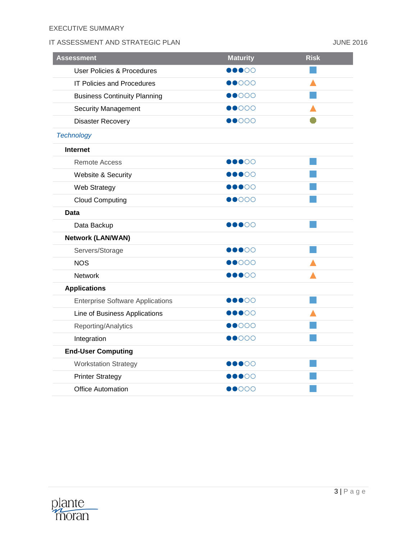# IT ASSESSMENT AND STRATEGIC PLAN AND STRATEGIC PLAN

| <b>Assessment</b>                       | <b>Maturity</b>                   | <b>Risk</b> |
|-----------------------------------------|-----------------------------------|-------------|
| <b>User Policies &amp; Procedures</b>   | $\bullet\bullet\circ\circ$        |             |
| <b>IT Policies and Procedures</b>       | $\bullet$ 000                     |             |
| <b>Business Continuity Planning</b>     | $\bullet$ 000                     |             |
| <b>Security Management</b>              | $\bullet$ 000                     |             |
| Disaster Recovery                       | $\bullet$ 000                     |             |
| <b>Technology</b>                       |                                   |             |
| <b>Internet</b>                         |                                   |             |
| <b>Remote Access</b>                    | $\bullet\bullet\bullet\circ\circ$ |             |
| Website & Security                      | $\bullet\bullet\circ\circ$        |             |
| Web Strategy                            | $\bullet\bullet\circ\circ$        |             |
| <b>Cloud Computing</b>                  | $\bullet$ 000                     |             |
| Data                                    |                                   |             |
| Data Backup                             | $\bullet\bullet\bullet\circ\circ$ |             |
| <b>Network (LAN/WAN)</b>                |                                   |             |
| Servers/Storage                         | $\bullet\bullet\circ\circ$        |             |
| <b>NOS</b>                              | $\bullet$ 000                     |             |
| Network                                 | $\bullet\bullet\bullet\circ\circ$ |             |
| <b>Applications</b>                     |                                   |             |
| <b>Enterprise Software Applications</b> | $\bullet\bullet\circ\circ$        |             |
| Line of Business Applications           | $\bullet\bullet\circ\circ$        |             |
| Reporting/Analytics                     | $\bullet$ 000                     |             |
| Integration                             | $\bullet$ 000                     |             |
| <b>End-User Computing</b>               |                                   |             |
| <b>Workstation Strategy</b>             | $\bullet\bullet\bullet\circ\circ$ |             |
| <b>Printer Strategy</b>                 | $\bullet$ 00                      |             |
| <b>Office Automation</b>                | $\bullet$ 000                     |             |

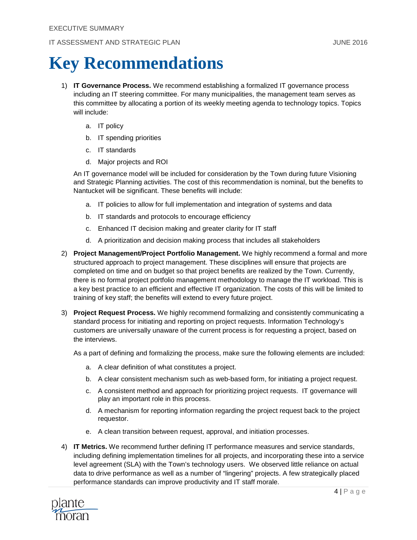# **Key Recommendations**

- 1) **IT Governance Process.** We recommend establishing a formalized IT governance process including an IT steering committee. For many municipalities, the management team serves as this committee by allocating a portion of its weekly meeting agenda to technology topics. Topics will include:
	- a. IT policy
	- b. IT spending priorities
	- c. IT standards
	- d. Major projects and ROI

An IT governance model will be included for consideration by the Town during future Visioning and Strategic Planning activities. The cost of this recommendation is nominal, but the benefits to Nantucket will be significant. These benefits will include:

- a. IT policies to allow for full implementation and integration of systems and data
- b. IT standards and protocols to encourage efficiency
- c. Enhanced IT decision making and greater clarity for IT staff
- d. A prioritization and decision making process that includes all stakeholders
- 2) **Project Management/Project Portfolio Management.** We highly recommend a formal and more structured approach to project management. These disciplines will ensure that projects are completed on time and on budget so that project benefits are realized by the Town. Currently, there is no formal project portfolio management methodology to manage the IT workload. This is a key best practice to an efficient and effective IT organization. The costs of this will be limited to training of key staff; the benefits will extend to every future project.
- 3) **Project Request Process.** We highly recommend formalizing and consistently communicating a standard process for initiating and reporting on project requests. Information Technology's customers are universally unaware of the current process is for requesting a project, based on the interviews.

As a part of defining and formalizing the process, make sure the following elements are included:

- a. A clear definition of what constitutes a project.
- b. A clear consistent mechanism such as web-based form, for initiating a project request.
- c. A consistent method and approach for prioritizing project requests. IT governance will play an important role in this process.
- d. A mechanism for reporting information regarding the project request back to the project requestor.
- e. A clean transition between request, approval, and initiation processes.
- 4) **IT Metrics.** We recommend further defining IT performance measures and service standards, including defining implementation timelines for all projects, and incorporating these into a service level agreement (SLA) with the Town's technology users. We observed little reliance on actual data to drive performance as well as a number of "lingering" projects. A few strategically placed performance standards can improve productivity and IT staff morale.

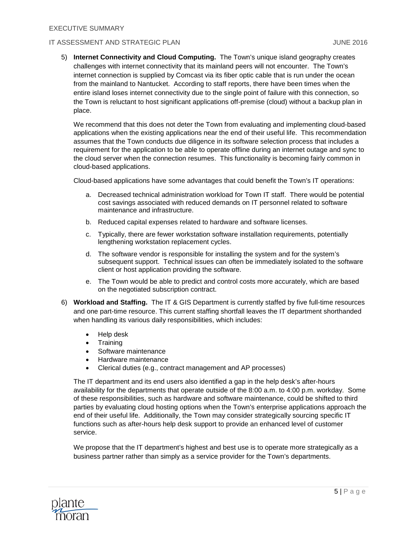5) **Internet Connectivity and Cloud Computing.** The Town's unique island geography creates challenges with internet connectivity that its mainland peers will not encounter. The Town's internet connection is supplied by Comcast via its fiber optic cable that is run under the ocean from the mainland to Nantucket. According to staff reports, there have been times when the entire island loses internet connectivity due to the single point of failure with this connection, so the Town is reluctant to host significant applications off-premise (cloud) without a backup plan in place.

We recommend that this does not deter the Town from evaluating and implementing cloud-based applications when the existing applications near the end of their useful life. This recommendation assumes that the Town conducts due diligence in its software selection process that includes a requirement for the application to be able to operate offline during an internet outage and sync to the cloud server when the connection resumes. This functionality is becoming fairly common in cloud-based applications.

Cloud-based applications have some advantages that could benefit the Town's IT operations:

- a. Decreased technical administration workload for Town IT staff. There would be potential cost savings associated with reduced demands on IT personnel related to software maintenance and infrastructure.
- b. Reduced capital expenses related to hardware and software licenses.
- c. Typically, there are fewer workstation software installation requirements, potentially lengthening workstation replacement cycles.
- d. The software vendor is responsible for installing the system and for the system's subsequent support. Technical issues can often be immediately isolated to the software client or host application providing the software.
- e. The Town would be able to predict and control costs more accurately, which are based on the negotiated subscription contract.
- 6) **Workload and Staffing.** The IT & GIS Department is currently staffed by five full-time resources and one part-time resource. This current staffing shortfall leaves the IT department shorthanded when handling its various daily responsibilities, which includes:
	- Help desk
	- Training
	- Software maintenance
	- Hardware maintenance
	- Clerical duties (e.g., contract management and AP processes)

The IT department and its end users also identified a gap in the help desk's after-hours availability for the departments that operate outside of the 8:00 a.m. to 4:00 p.m. workday. Some of these responsibilities, such as hardware and software maintenance, could be shifted to third parties by evaluating cloud hosting options when the Town's enterprise applications approach the end of their useful life. Additionally, the Town may consider strategically sourcing specific IT functions such as after-hours help desk support to provide an enhanced level of customer service.

We propose that the IT department's highest and best use is to operate more strategically as a business partner rather than simply as a service provider for the Town's departments.

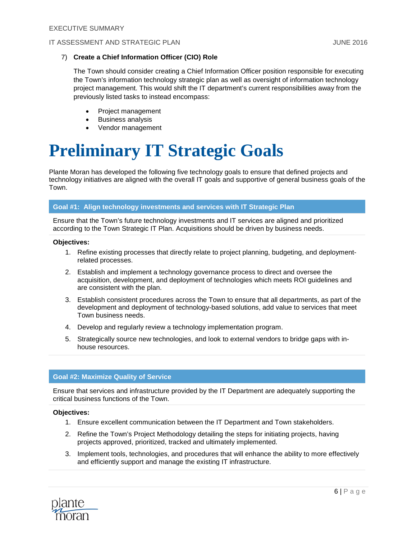#### 7) **Create a Chief Information Officer (CIO) Role**

The Town should consider creating a Chief Information Officer position responsible for executing the Town's information technology strategic plan as well as oversight of information technology project management. This would shift the IT department's current responsibilities away from the previously listed tasks to instead encompass:

- Project management
- Business analysis
- Vendor management

# **Preliminary IT Strategic Goals**

Plante Moran has developed the following five technology goals to ensure that defined projects and technology initiatives are aligned with the overall IT goals and supportive of general business goals of the Town.

#### **Goal #1: Align technology investments and services with IT Strategic Plan**

Ensure that the Town's future technology investments and IT services are aligned and prioritized according to the Town Strategic IT Plan. Acquisitions should be driven by business needs.

#### **Objectives:**

- 1. Refine existing processes that directly relate to project planning, budgeting, and deploymentrelated processes.
- 2. Establish and implement a technology governance process to direct and oversee the acquisition, development, and deployment of technologies which meets ROI guidelines and are consistent with the plan.
- 3. Establish consistent procedures across the Town to ensure that all departments, as part of the development and deployment of technology-based solutions, add value to services that meet Town business needs.
- 4. Develop and regularly review a technology implementation program.
- 5. Strategically source new technologies, and look to external vendors to bridge gaps with inhouse resources.

#### **Goal #2: Maximize Quality of Service**

Ensure that services and infrastructure provided by the IT Department are adequately supporting the critical business functions of the Town.

#### **Objectives:**

- 1. Ensure excellent communication between the IT Department and Town stakeholders.
- 2. Refine the Town's Project Methodology detailing the steps for initiating projects, having projects approved, prioritized, tracked and ultimately implemented.
- 3. Implement tools, technologies, and procedures that will enhance the ability to more effectively and efficiently support and manage the existing IT infrastructure.

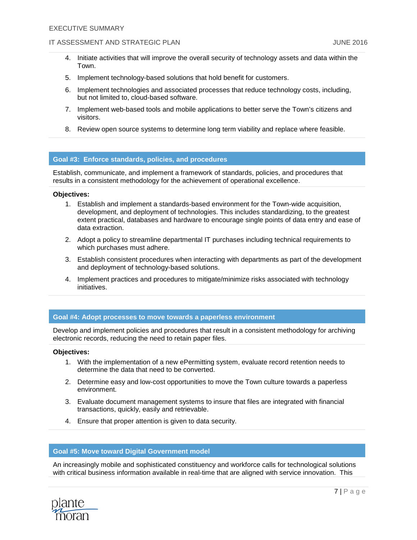#### IT ASSESSMENT AND STRATEGIC PLAN AND STRATEGIC PLAN

- 4. Initiate activities that will improve the overall security of technology assets and data within the Town.
- 5. Implement technology-based solutions that hold benefit for customers.
- 6. Implement technologies and associated processes that reduce technology costs, including, but not limited to, cloud-based software.
- 7. Implement web-based tools and mobile applications to better serve the Town's citizens and visitors.
- 8. Review open source systems to determine long term viability and replace where feasible.

#### **Goal #3: Enforce standards, policies, and procedures**

Establish, communicate, and implement a framework of standards, policies, and procedures that results in a consistent methodology for the achievement of operational excellence.

#### **Objectives:**

- 1. Establish and implement a standards-based environment for the Town-wide acquisition, development, and deployment of technologies. This includes standardizing, to the greatest extent practical, databases and hardware to encourage single points of data entry and ease of data extraction.
- 2. Adopt a policy to streamline departmental IT purchases including technical requirements to which purchases must adhere.
- 3. Establish consistent procedures when interacting with departments as part of the development and deployment of technology-based solutions.
- 4. Implement practices and procedures to mitigate/minimize risks associated with technology initiatives.

#### **Goal #4: Adopt processes to move towards a paperless environment**

Develop and implement policies and procedures that result in a consistent methodology for archiving electronic records, reducing the need to retain paper files.

#### **Objectives:**

- 1. With the implementation of a new ePermitting system, evaluate record retention needs to determine the data that need to be converted.
- 2. Determine easy and low-cost opportunities to move the Town culture towards a paperless environment.
- 3. Evaluate document management systems to insure that files are integrated with financial transactions, quickly, easily and retrievable.
- 4. Ensure that proper attention is given to data security.

### **Goal #5: Move toward Digital Government model**

An increasingly mobile and sophisticated constituency and workforce calls for technological solutions with critical business information available in real-time that are aligned with service innovation. This

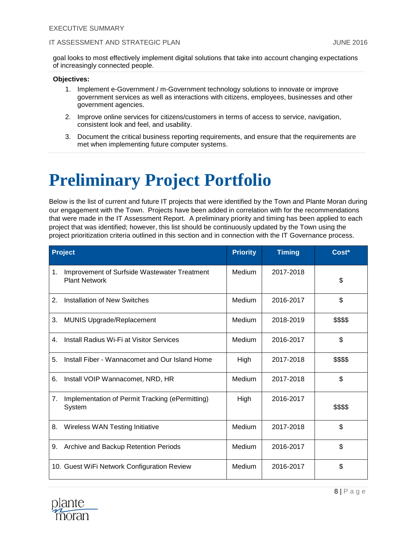goal looks to most effectively implement digital solutions that take into account changing expectations of increasingly connected people.

#### **Objectives:**

- 1. Implement e-Government / m-Government technology solutions to innovate or improve government services as well as interactions with citizens, employees, businesses and other government agencies.
- 2. Improve online services for citizens/customers in terms of access to service, navigation, consistent look and feel, and usability.
- 3. Document the critical business reporting requirements, and ensure that the requirements are met when implementing future computer systems.

# **Preliminary Project Portfolio**

Below is the list of current and future IT projects that were identified by the Town and Plante Moran during our engagement with the Town. Projects have been added in correlation with for the recommendations that were made in the IT Assessment Report. A preliminary priority and timing has been applied to each project that was identified; however, this list should be continuously updated by the Town using the project prioritization criteria outlined in this section and in connection with the IT Governance process.

|    | <b>Project</b>                                                       | <b>Priority</b> | <b>Timing</b> | Cost*    |
|----|----------------------------------------------------------------------|-----------------|---------------|----------|
| 1. | Improvement of Surfside Wastewater Treatment<br><b>Plant Network</b> | Medium          | 2017-2018     | \$       |
| 2. | Installation of New Switches                                         | Medium          | 2016-2017     | \$       |
| 3. | <b>MUNIS Upgrade/Replacement</b>                                     | Medium          | 2018-2019     | \$\$\$\$ |
| 4. | Install Radius Wi-Fi at Visitor Services                             | Medium          | 2016-2017     | \$       |
| 5. | Install Fiber - Wannacomet and Our Island Home                       | High            | 2017-2018     | \$\$\$\$ |
| 6. | Install VOIP Wannacomet, NRD, HR                                     | Medium          | 2017-2018     | \$       |
| 7. | Implementation of Permit Tracking (ePermitting)<br>System            | High            | 2016-2017     | \$\$\$\$ |
| 8. | Wireless WAN Testing Initiative                                      | Medium          | 2017-2018     | \$       |
| 9. | Archive and Backup Retention Periods                                 | Medium          | 2016-2017     | \$       |
|    | 10. Guest WiFi Network Configuration Review                          | Medium          | 2016-2017     | \$       |

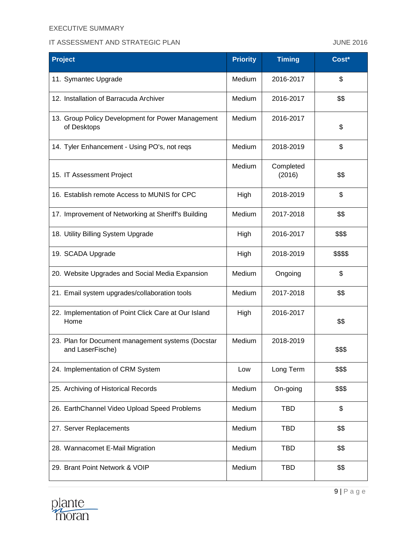## EXECUTIVE SUMMARY

## IT ASSESSMENT AND STRATEGIC PLAN AND STRATEGIC PLAN

| <b>Project</b>                                                        | <b>Priority</b> | <b>Timing</b>       | Cost*    |
|-----------------------------------------------------------------------|-----------------|---------------------|----------|
| 11. Symantec Upgrade                                                  | Medium          | 2016-2017           | \$       |
| 12. Installation of Barracuda Archiver                                | Medium          | 2016-2017           | \$\$     |
| 13. Group Policy Development for Power Management<br>of Desktops      | Medium          | 2016-2017           | \$       |
| 14. Tyler Enhancement - Using PO's, not reqs                          | Medium          | 2018-2019           | \$       |
| 15. IT Assessment Project                                             | Medium          | Completed<br>(2016) | \$\$     |
| 16. Establish remote Access to MUNIS for CPC                          | High            | 2018-2019           | \$       |
| 17. Improvement of Networking at Sheriff's Building                   | Medium          | 2017-2018           | \$\$     |
| 18. Utility Billing System Upgrade                                    | High            | 2016-2017           | \$\$\$   |
| 19. SCADA Upgrade                                                     | High            | 2018-2019           | \$\$\$\$ |
| 20. Website Upgrades and Social Media Expansion                       | Medium          | Ongoing             | \$       |
| 21. Email system upgrades/collaboration tools                         | Medium          | 2017-2018           | \$\$     |
| 22. Implementation of Point Click Care at Our Island<br>Home          | High            | 2016-2017           | \$\$     |
| 23. Plan for Document management systems (Docstar<br>and LaserFische) | Medium          | 2018-2019           | \$\$\$   |
| 24. Implementation of CRM System                                      | Low             | Long Term           | \$\$\$   |
| 25. Archiving of Historical Records                                   | Medium          | On-going            | \$\$\$   |
| 26. EarthChannel Video Upload Speed Problems                          | Medium          | <b>TBD</b>          | \$       |
| 27. Server Replacements                                               | Medium          | <b>TBD</b>          | \$\$     |
| 28. Wannacomet E-Mail Migration                                       | Medium          | <b>TBD</b>          | \$\$     |
| 29. Brant Point Network & VOIP                                        | Medium          | <b>TBD</b>          | \$\$     |

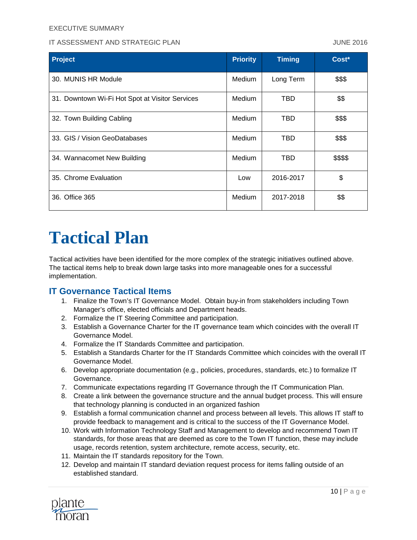### EXECUTIVE SUMMARY

### IT ASSESSMENT AND STRATEGIC PLAN JUNE 2016

| <b>Project</b>                                  | <b>Priority</b> | <b>Timing</b> | Cost*    |
|-------------------------------------------------|-----------------|---------------|----------|
| 30. MUNIS HR Module                             | Medium          | Long Term     | \$\$\$   |
| 31. Downtown Wi-Fi Hot Spot at Visitor Services | Medium          | TBD           | \$\$     |
| 32. Town Building Cabling                       | Medium          | TBD           | \$\$\$   |
| 33. GIS / Vision GeoDatabases                   | Medium          | TBD           | \$\$\$   |
| 34. Wannacomet New Building                     | Medium          | TBD           | \$\$\$\$ |
| 35. Chrome Evaluation                           | Low             | 2016-2017     | \$       |
| 36. Office 365                                  | Medium          | 2017-2018     | \$\$     |

# **Tactical Plan**

Tactical activities have been identified for the more complex of the strategic initiatives outlined above. The tactical items help to break down large tasks into more manageable ones for a successful implementation.

## **IT Governance Tactical Items**

- 1. Finalize the Town's IT Governance Model. Obtain buy-in from stakeholders including Town Manager's office, elected officials and Department heads.
- 2. Formalize the IT Steering Committee and participation.
- 3. Establish a Governance Charter for the IT governance team which coincides with the overall IT Governance Model.
- 4. Formalize the IT Standards Committee and participation.
- 5. Establish a Standards Charter for the IT Standards Committee which coincides with the overall IT Governance Model.
- 6. Develop appropriate documentation (e.g., policies, procedures, standards, etc.) to formalize IT Governance.
- 7. Communicate expectations regarding IT Governance through the IT Communication Plan.
- 8. Create a link between the governance structure and the annual budget process. This will ensure that technology planning is conducted in an organized fashion
- 9. Establish a formal communication channel and process between all levels. This allows IT staff to provide feedback to management and is critical to the success of the IT Governance Model.
- 10. Work with Information Technology Staff and Management to develop and recommend Town IT standards, for those areas that are deemed as core to the Town IT function, these may include usage, records retention, system architecture, remote access, security, etc.
- 11. Maintain the IT standards repository for the Town.
- 12. Develop and maintain IT standard deviation request process for items falling outside of an established standard.

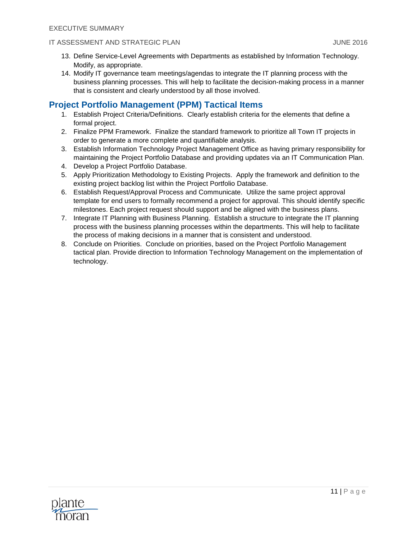- 13. Define Service-Level Agreements with Departments as established by Information Technology. Modify, as appropriate.
- 14. Modify IT governance team meetings/agendas to integrate the IT planning process with the business planning processes. This will help to facilitate the decision-making process in a manner that is consistent and clearly understood by all those involved.

# **Project Portfolio Management (PPM) Tactical Items**

- 1. Establish Project Criteria/Definitions. Clearly establish criteria for the elements that define a formal project.
- 2. Finalize PPM Framework. Finalize the standard framework to prioritize all Town IT projects in order to generate a more complete and quantifiable analysis.
- 3. Establish Information Technology Project Management Office as having primary responsibility for maintaining the Project Portfolio Database and providing updates via an IT Communication Plan.
- 4. Develop a Project Portfolio Database.
- 5. Apply Prioritization Methodology to Existing Projects. Apply the framework and definition to the existing project backlog list within the Project Portfolio Database.
- 6. Establish Request/Approval Process and Communicate. Utilize the same project approval template for end users to formally recommend a project for approval. This should identify specific milestones. Each project request should support and be aligned with the business plans.
- 7. Integrate IT Planning with Business Planning. Establish a structure to integrate the IT planning process with the business planning processes within the departments. This will help to facilitate the process of making decisions in a manner that is consistent and understood.
- 8. Conclude on Priorities. Conclude on priorities, based on the Project Portfolio Management tactical plan. Provide direction to Information Technology Management on the implementation of technology.